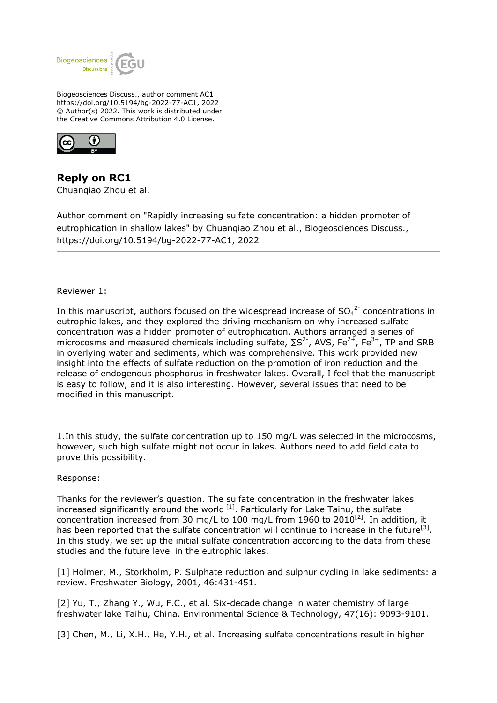

Biogeosciences Discuss., author comment AC1 https://doi.org/10.5194/bg-2022-77-AC1, 2022 © Author(s) 2022. This work is distributed under the Creative Commons Attribution 4.0 License.



**Reply on RC1** Chuanqiao Zhou et al.

Author comment on "Rapidly increasing sulfate concentration: a hidden promoter of eutrophication in shallow lakes" by Chuanqiao Zhou et al., Biogeosciences Discuss., https://doi.org/10.5194/bg-2022-77-AC1, 2022

## Reviewer 1:

In this manuscript, authors focused on the widespread increase of  ${SO_4}^{2-}$  concentrations in eutrophic lakes, and they explored the driving mechanism on why increased sulfate concentration was a hidden promoter of eutrophication. Authors arranged a series of microcosms and measured chemicals including sulfate,  $\Sigma S^2$ , AVS, Fe<sup>2+</sup>, Fe<sup>3+</sup>, TP and SRB in overlying water and sediments, which was comprehensive. This work provided new insight into the effects of sulfate reduction on the promotion of iron reduction and the release of endogenous phosphorus in freshwater lakes. Overall, I feel that the manuscript is easy to follow, and it is also interesting. However, several issues that need to be modified in this manuscript.

1.In this study, the sulfate concentration up to 150 mg/L was selected in the microcosms, however, such high sulfate might not occur in lakes. Authors need to add field data to prove this possibility.

#### Response:

Thanks for the reviewer's question. The sulfate concentration in the freshwater lakes increased significantly around the world  $[1]$ . Particularly for Lake Taihu, the sulfate concentration increased from 30 mg/L to 100 mg/L from 1960 to 2010<sup>[2]</sup>. In addition, it has been reported that the sulfate concentration will continue to increase in the future<sup>[3]</sup>. In this study, we set up the initial sulfate concentration according to the data from these studies and the future level in the eutrophic lakes.

[1] Holmer, M., Storkholm, P. Sulphate reduction and sulphur cycling in lake sediments: a review. Freshwater Biology, 2001, 46:431-451.

[2] Yu, T., Zhang Y., Wu, F.C., et al. Six-decade change in water chemistry of large freshwater lake Taihu, China. Environmental Science & Technology, 47(16): 9093-9101.

[3] Chen, M., Li, X.H., He, Y.H., et al. Increasing sulfate concentrations result in higher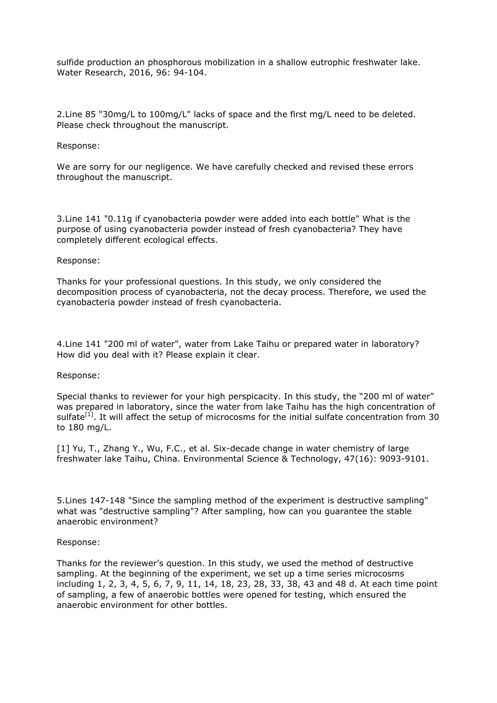sulfide production an phosphorous mobilization in a shallow eutrophic freshwater lake. Water Research, 2016, 96: 94-104.

2.Line 85 "30mg/L to 100mg/L" lacks of space and the first mg/L need to be deleted. Please check throughout the manuscript.

## Response:

We are sorry for our negligence. We have carefully checked and revised these errors throughout the manuscript.

3.Line 141 "0.11g if cyanobacteria powder were added into each bottle" What is the purpose of using cyanobacteria powder instead of fresh cyanobacteria? They have completely different ecological effects.

# Response:

Thanks for your professional questions. In this study, we only considered the decomposition process of cyanobacteria, not the decay process. Therefore, we used the cyanobacteria powder instead of fresh cyanobacteria.

4.Line 141 "200 ml of water", water from Lake Taihu or prepared water in laboratory? How did you deal with it? Please explain it clear.

#### Response:

Special thanks to reviewer for your high perspicacity. In this study, the "200 ml of water" was prepared in laboratory, since the water from lake Taihu has the high concentration of sulfate<sup>[1]</sup>. It will affect the setup of microcosms for the initial sulfate concentration from 30 to 180 mg/L.

[1] Yu, T., Zhang Y., Wu, F.C., et al. Six-decade change in water chemistry of large freshwater lake Taihu, China. Environmental Science & Technology, 47(16): 9093-9101.

5.Lines 147-148 "Since the sampling method of the experiment is destructive sampling" what was "destructive sampling"? After sampling, how can you guarantee the stable anaerobic environment?

#### Response:

Thanks for the reviewer's question. In this study, we used the method of destructive sampling. At the beginning of the experiment, we set up a time series microcosms including 1, 2, 3, 4, 5, 6, 7, 9, 11, 14, 18, 23, 28, 33, 38, 43 and 48 d. At each time point of sampling, a few of anaerobic bottles were opened for testing, which ensured the anaerobic environment for other bottles.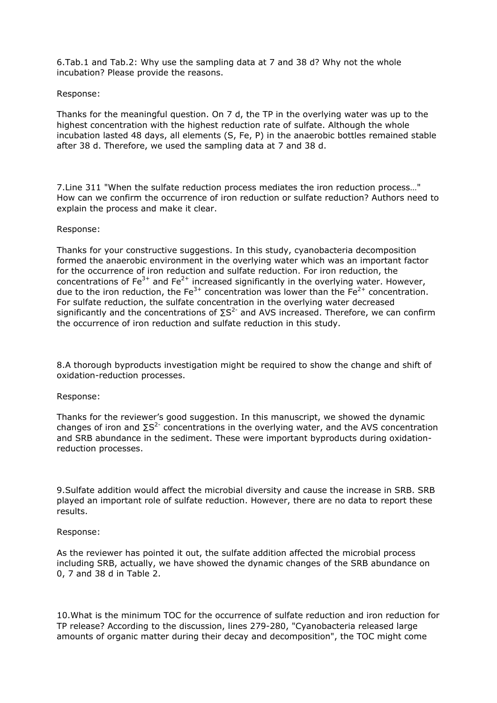6.Tab.1 and Tab.2: Why use the sampling data at 7 and 38 d? Why not the whole incubation? Please provide the reasons.

# Response:

Thanks for the meaningful question. On 7 d, the TP in the overlying water was up to the highest concentration with the highest reduction rate of sulfate. Although the whole incubation lasted 48 days, all elements (S, Fe, P) in the anaerobic bottles remained stable after 38 d. Therefore, we used the sampling data at 7 and 38 d.

7.Line 311 "When the sulfate reduction process mediates the iron reduction process…" How can we confirm the occurrence of iron reduction or sulfate reduction? Authors need to explain the process and make it clear.

## Response:

Thanks for your constructive suggestions. In this study, cyanobacteria decomposition formed the anaerobic environment in the overlying water which was an important factor for the occurrence of iron reduction and sulfate reduction. For iron reduction, the concentrations of  $Fe^{3+}$  and  $Fe^{2+}$  increased significantly in the overlying water. However, due to the iron reduction, the Fe<sup>3+</sup> concentration was lower than the Fe<sup>2+</sup> concentration. For sulfate reduction, the sulfate concentration in the overlying water decreased significantly and the concentrations of  $\Sigma S^{2}$  and AVS increased. Therefore, we can confirm the occurrence of iron reduction and sulfate reduction in this study.

8.A thorough byproducts investigation might be required to show the change and shift of oxidation-reduction processes.

# Response:

Thanks for the reviewer's good suggestion. In this manuscript, we showed the dynamic changes of iron and  $\Sigma S^2$  concentrations in the overlying water, and the AVS concentration and SRB abundance in the sediment. These were important byproducts during oxidationreduction processes.

9.Sulfate addition would affect the microbial diversity and cause the increase in SRB. SRB played an important role of sulfate reduction. However, there are no data to report these results.

#### Response:

As the reviewer has pointed it out, the sulfate addition affected the microbial process including SRB, actually, we have showed the dynamic changes of the SRB abundance on 0, 7 and 38 d in Table 2.

10.What is the minimum TOC for the occurrence of sulfate reduction and iron reduction for TP release? According to the discussion, lines 279-280, "Cyanobacteria released large amounts of organic matter during their decay and decomposition", the TOC might come